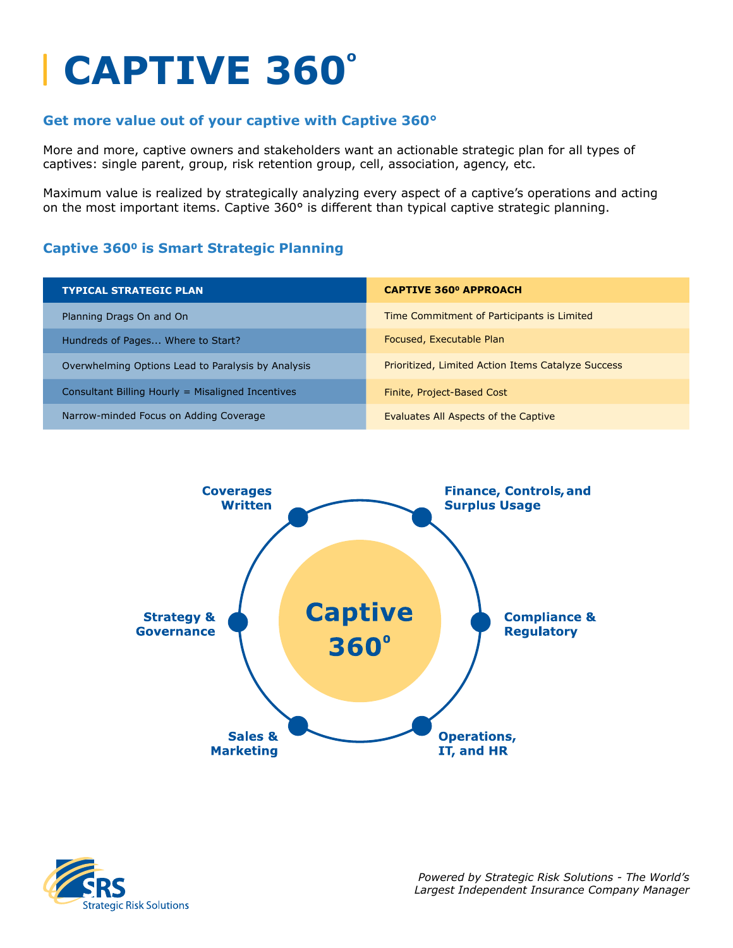# **CAPTIVE 360°**

## **Get more value out of your captive with Captive 360°**

More and more, captive owners and stakeholders want an actionable strategic plan for all types of captives: single parent, group, risk retention group, cell, association, agency, etc.

Maximum value is realized by strategically analyzing every aspect of a captive's operations and acting on the most important items. Captive 360° is different than typical captive strategic planning.

## **Captive 3600 is Smart Strategic Planning**

| <b>TYPICAL STRATEGIC PLAN</b>                      | <b>CAPTIVE 360° APPROACH</b>                       |
|----------------------------------------------------|----------------------------------------------------|
| Planning Drags On and On                           | Time Commitment of Participants is Limited         |
| Hundreds of Pages Where to Start?                  | Focused, Executable Plan                           |
| Overwhelming Options Lead to Paralysis by Analysis | Prioritized, Limited Action Items Catalyze Success |
| Consultant Billing Hourly = Misaligned Incentives  | Finite, Project-Based Cost                         |
| Narrow-minded Focus on Adding Coverage             | Evaluates All Aspects of the Captive               |